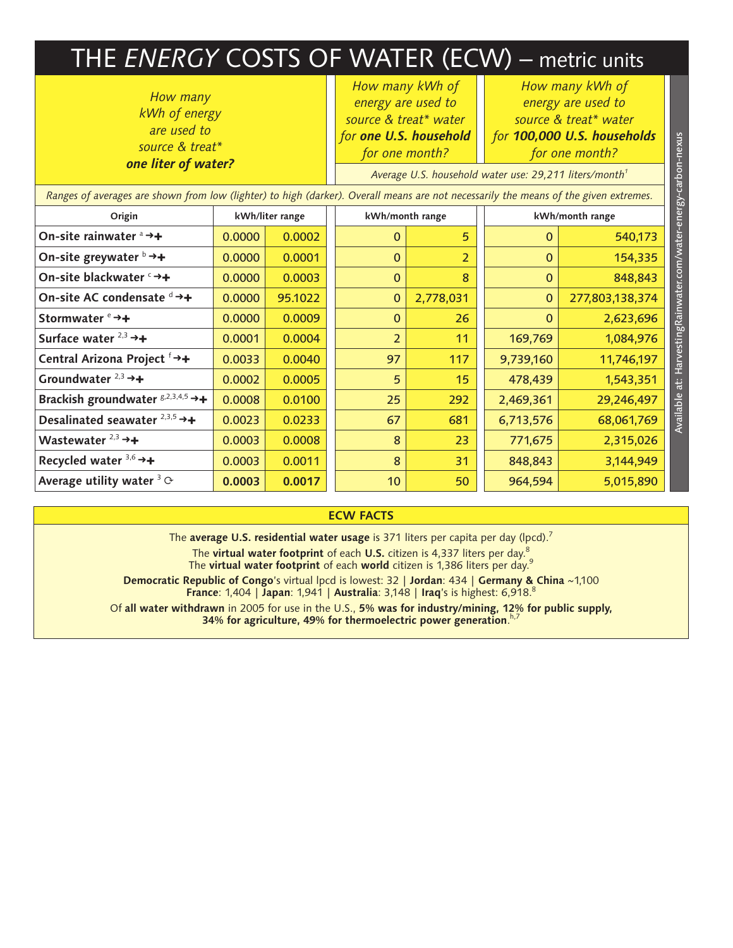## THE *ENERGY* COSTS OF WATER (ECW) – metric units

*How many kWh of energy are used to source & treat\* one liter of water?*

*How many kWh of energy are used to source & treat\* water for one U.S. household for one month?*

*How many kWh of energy are used to source & treat\* water* 

| are used to<br>source & treat*<br>one liter of water?                                                                                |                 |         | for one U.S. household<br>for one month?                           |                | for 100,000 U.S. households<br>for one month? |                 |
|--------------------------------------------------------------------------------------------------------------------------------------|-----------------|---------|--------------------------------------------------------------------|----------------|-----------------------------------------------|-----------------|
|                                                                                                                                      |                 |         | Average U.S. household water use: 29,211 liters/month <sup>1</sup> |                |                                               |                 |
| Ranges of averages are shown from low (lighter) to high (darker). Overall means are not necessarily the means of the given extremes. |                 |         |                                                                    |                |                                               |                 |
| Origin                                                                                                                               | kWh/liter range |         | kWh/month range                                                    |                | kWh/month range                               |                 |
| On-site rainwater ª →+                                                                                                               | 0.0000          | 0.0002  | $\Omega$                                                           | 5              | $\Omega$                                      | 540,173         |
| On-site greywater $\flat \rightarrow +$                                                                                              | 0.0000          | 0.0001  | $\mathbf{0}$                                                       | $\overline{2}$ | $\mathbf{0}$                                  | 154,335         |
| On-site blackwater <sup>c</sup> →+                                                                                                   | 0.0000          | 0.0003  | $\mathbf{0}$                                                       | 8              | $\mathbf{0}$                                  | 848,843         |
| On-site AC condensate d →+                                                                                                           | 0.0000          | 95.1022 | $\mathbf{0}$                                                       | 2,778,031      | $\mathbf{0}$                                  | 277,803,138,374 |
| Stormwater $e \rightarrow +$                                                                                                         | 0.0000          | 0.0009  | $\mathbf{0}$                                                       | 26             | $\Omega$                                      | 2,623,696       |
| Surface water $2,3$ $\rightarrow$ +                                                                                                  | 0.0001          | 0.0004  | $\overline{2}$                                                     | 11             | 169,769                                       | 1,084,976       |
| Central Arizona Project <sup>f</sup> →+                                                                                              | 0.0033          | 0.0040  | 97                                                                 | 117            | 9,739,160                                     | 11,746,197      |
| Groundwater $2,3$ $\rightarrow$ +                                                                                                    | 0.0002          | 0.0005  | 5                                                                  | 15             | 478,439                                       | 1,543,351       |
| Brackish groundwater $g^{2,3,4,5} \rightarrow +$                                                                                     | 0.0008          | 0.0100  | 25                                                                 | 292            | 2,469,361                                     | 29,246,497      |
| Desalinated seawater $2,3,5$ $\rightarrow$ +                                                                                         | 0.0023          | 0.0233  | 67                                                                 | 681            | 6,713,576                                     | 68,061,769      |
| Wastewater $2,3$ $\rightarrow +$                                                                                                     | 0.0003          | 0.0008  | 8                                                                  | 23             | 771,675                                       | 2,315,026       |
| Recycled water $3,6$ $\rightarrow$ +                                                                                                 | 0.0003          | 0.0011  | 8                                                                  | 31             | 848,843                                       | 3,144,949       |
| Average utility water $3 \circ$                                                                                                      | 0.0003          | 0.0017  | 10 <sub>1</sub>                                                    | 50             | 964,594                                       | 5,015,890       |

## **ECW FACTS**

The **average U.S. residential water usage** is 371 liters per capita per day (lpcd).7

The **virtual water footprint** of each **U.S.** citizen is 4,337 liters per day.8

The **virtual water footprint** of each **world** citizen is 1,386 liters per day.9

**Democratic Republic of Congo**'s virtual lpcd is lowest: 32 | **Jordan**: 434 | **Germany & China** ~1,100 **France**: 1,404 | **Japan**: 1,941 | **Australia**: 3,148 | **Iraq**'s is highest: 6,918.8

Of **all water withdrawn** in 2005 for use in the U.S., **5% was for industry/mining, 12% for public supply, 34% for agriculture, 49% for thermoelectric power generation**. h,7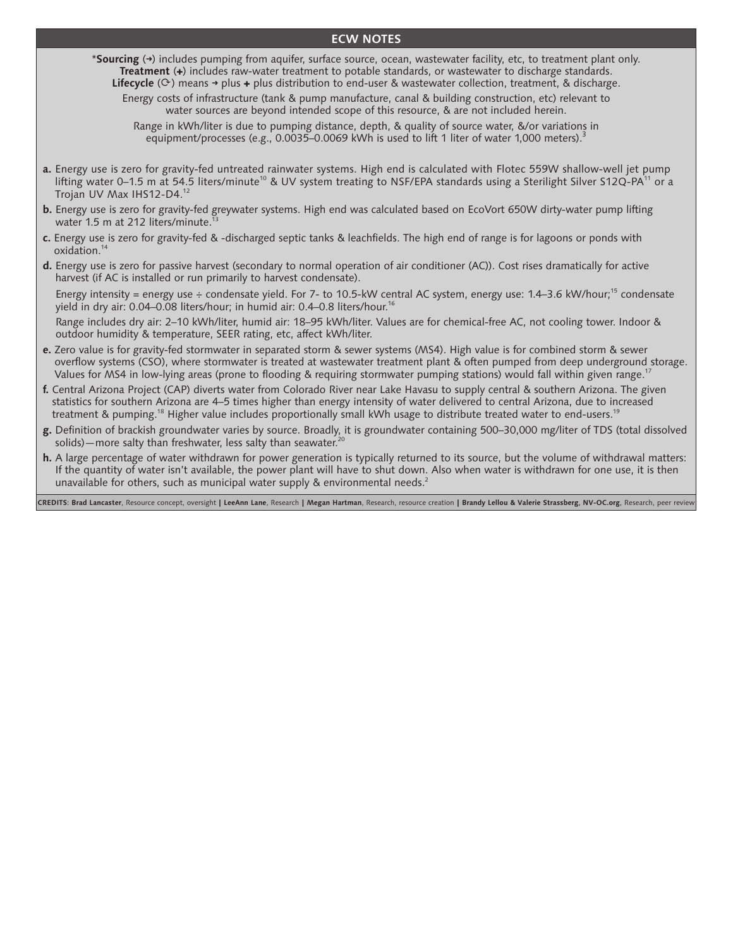## **ECW NOTES**

\***Sourcing** (**➜**) includes pumping from aquifer, surface source, ocean, wastewater facility, etc, to treatment plant only. **Treatment** (**✚**) includes raw-water treatment to potable standards, or wastewater to discharge standards. **Lifecycle** ( $\circ$ ) means  $\rightarrow$  plus  $\leftrightarrow$  plus distribution to end-user & wastewater collection, treatment, & discharge.

Energy costs of infrastructure (tank & pump manufacture, canal & building construction, etc) relevant to water sources are beyond intended scope of this resource, & are not included herein.

Range in kWh/liter is due to pumping distance, depth, & quality of source water, &/or variations in equipment/processes (e.g., 0.0035–0.0069 kWh is used to lift 1 liter of water 1,000 meters).<sup>3</sup>

- **a.** Energy use is zero for gravity-fed untreated rainwater systems. High end is calculated with Flotec 559W shallow-well jet pump lifting water 0–1.5 m at 54.5 liters/minute<sup>10</sup> & UV system treating to NSF/EPA standards using a Sterilight Silver S12Q-PA<sup>11</sup> or a Trojan UV Max IHS12-D4.12
- **b.** Energy use is zero for gravity-fed greywater systems. High end was calculated based on EcoVort 650W dirty-water pump lifting water 1.5 m at 212 liters/minute.
- **c.** Energy use is zero for gravity-fed & -discharged septic tanks & leachfields. The high end of range is for lagoons or ponds with oxidation.<sup>14</sup>
- **d.** Energy use is zero for passive harvest (secondary to normal operation of air conditioner (AC)). Cost rises dramatically for active harvest (if AC is installed or run primarily to harvest condensate).

Energy intensity = energy use  $\div$  condensate yield. For 7- to 10.5-kW central AC system, energy use: 1.4–3.6 kW/hour;<sup>15</sup> condensate yield in dry air: 0.04–0.08 liters/hour; in humid air: 0.4–0.8 liters/hour.16

 Range includes dry air: 2–10 kWh/liter, humid air: 18–95 kWh/liter. Values are for chemical-free AC, not cooling tower. Indoor & outdoor humidity & temperature, SEER rating, etc, affect kWh/liter.

- **e.** Zero value is for gravity-fed stormwater in separated storm & sewer systems (MS4). High value is for combined storm & sewer overflow systems (CSO), where stormwater is treated at wastewater treatment plant & often pumped from deep underground storage. Values for MS4 in low-lying areas (prone to flooding & requiring stormwater pumping stations) would fall within given range.<sup>17</sup>
- **f.** Central Arizona Project (CAP) diverts water from Colorado River near Lake Havasu to supply central & southern Arizona. The given statistics for southern Arizona are 4–5 times higher than energy intensity of water delivered to central Arizona, due to increased treatment & pumping.<sup>18</sup> Higher value includes proportionally small kWh usage to distribute treated water to end-users.<sup>19</sup>
- **g.** Definition of brackish groundwater varies by source. Broadly, it is groundwater containing 500–30,000 mg/liter of TDS (total dissolved solids)—more salty than freshwater, less salty than seawater.<sup>2</sup>
- **h.** A large percentage of water withdrawn for power generation is typically returned to its source, but the volume of withdrawal matters: If the quantity of water isn't available, the power plant will have to shut down. Also when water is withdrawn for one use, it is then unavailable for others, such as municipal water supply & environmental needs.<sup>2</sup>

CREDITS: Brad Lancaster, Resource concept, oversight | LeeAnn Lane, Research | Megan Hartman, Research, resource creation | Brandy Lellou & Valerie Strassberg, NV-OC.org, Research, peer review